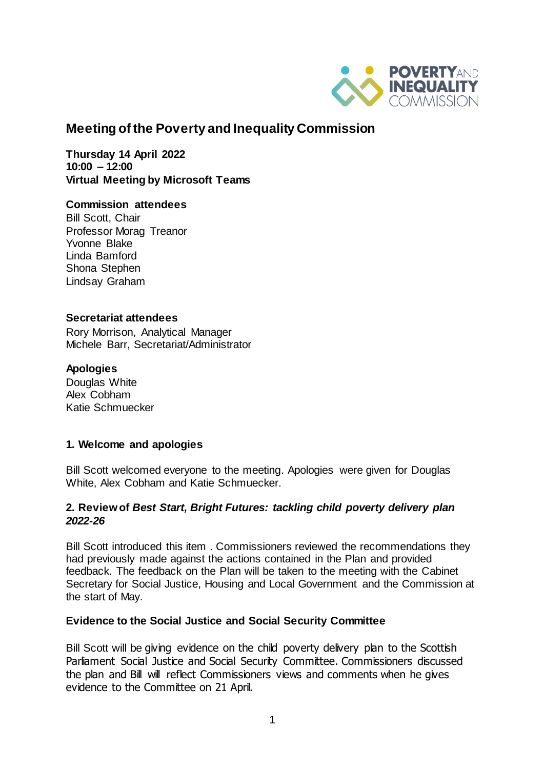

# **Meeting of the Poverty and Inequality Commission**

**Thursday 14 April 2022 10:00 – 12:00 Virtual Meeting by Microsoft Teams** 

### **Commission attendees**

Bill Scott, Chair Professor Morag Treanor Yvonne Blake Linda Bamford Shona Stephen Lindsay Graham

### **Secretariat attendees**

Rory Morrison, Analytical Manager Michele Barr, Secretariat/Administrator

### **Apologies**

Douglas White Alex Cobham Katie Schmuecker

## **1. Welcome and apologies**

Bill Scott welcomed everyone to the meeting. Apologies were given for Douglas White, Alex Cobham and Katie Schmuecker.

### **2. Review of** *Best Start, Bright Futures: tackling child poverty delivery plan 2022-26*

Bill Scott introduced this item . Commissioners reviewed the recommendations they had previously made against the actions contained in the Plan and provided feedback. The feedback on the Plan will be taken to the meeting with the Cabinet Secretary for Social Justice, Housing and Local Government and the Commission at the start of May.

## **Evidence to the Social Justice and Social Security Committee**

Bill Scott will be giving evidence on the child poverty delivery plan to the Scottish Parliament Social Justice and Social Security Committee. Commissioners discussed the plan and Bill will reflect Commissioners views and comments when he gives evidence to the Committee on 21 April.